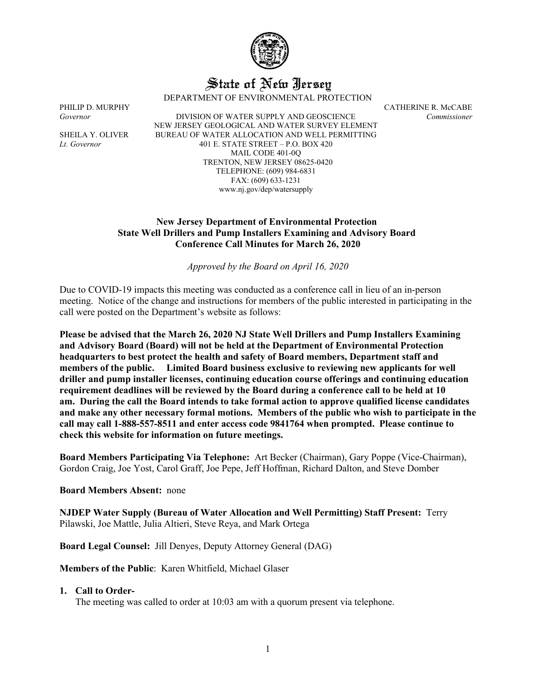

# State of New Jersey

DEPARTMENT OF ENVIRONMENTAL PROTECTION

PHILIP D. MURPHY CATHERINE R. McCABE *Governor* DIVISION OF WATER SUPPLY AND GEOSCIENCE *Commissioner* NEW JERSEY GEOLOGICAL AND WATER SURVEY ELEMENT SHEILA Y. OLIVER BUREAU OF WATER ALLOCATION AND WELL PERMITTING *Lt. Governor* 401 E. STATE STREET – P.O. BOX 420 MAIL CODE 401-0Q TRENTON, NEW JERSEY 08625-0420 TELEPHONE: (609) 984-6831 FAX: (609) 633-1231 www.nj.gov/dep/watersupply

#### **New Jersey Department of Environmental Protection State Well Drillers and Pump Installers Examining and Advisory Board Conference Call Minutes for March 26, 2020**

*Approved by the Board on April 16, 2020*

Due to COVID-19 impacts this meeting was conducted as a conference call in lieu of an in-person meeting. Notice of the change and instructions for members of the public interested in participating in the call were posted on the Department's website as follows:

**Please be advised that the March 26, 2020 NJ State Well Drillers and Pump Installers Examining and Advisory Board (Board) will not be held at the Department of Environmental Protection headquarters to best protect the health and safety of Board members, Department staff and members of the public. Limited Board business exclusive to reviewing new applicants for well driller and pump installer licenses, continuing education course offerings and continuing education requirement deadlines will be reviewed by the Board during a conference call to be held at 10 am. During the call the Board intends to take formal action to approve qualified license candidates and make any other necessary formal motions. Members of the public who wish to participate in the call may call 1-888-557-8511 and enter access code 9841764 when prompted. Please continue to check this website for information on future meetings.**

**Board Members Participating Via Telephone:** Art Becker (Chairman), Gary Poppe (Vice-Chairman), Gordon Craig, Joe Yost, Carol Graff, Joe Pepe, Jeff Hoffman, Richard Dalton, and Steve Domber

#### **Board Members Absent:** none

**NJDEP Water Supply (Bureau of Water Allocation and Well Permitting) Staff Present:** Terry Pilawski, Joe Mattle, Julia Altieri, Steve Reya, and Mark Ortega

**Board Legal Counsel:** Jill Denyes, Deputy Attorney General (DAG)

**Members of the Public**: Karen Whitfield, Michael Glaser

#### **1. Call to Order-**

The meeting was called to order at 10:03 am with a quorum present via telephone.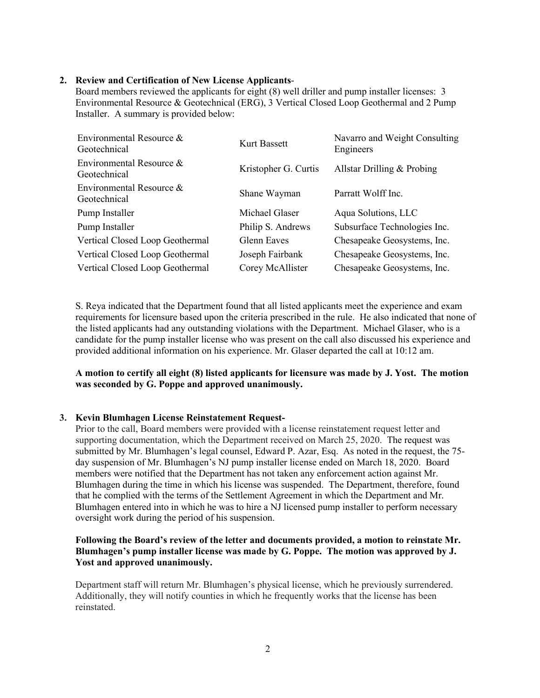# **2. Review and Certification of New License Applicants**-

Board members reviewed the applicants for eight (8) well driller and pump installer licenses: 3 Environmental Resource & Geotechnical (ERG), 3 Vertical Closed Loop Geothermal and 2 Pump Installer. A summary is provided below:

| Environmental Resource &<br>Geotechnical | Kurt Bassett         | Navarro and Weight Consulting<br>Engineers |
|------------------------------------------|----------------------|--------------------------------------------|
| Environmental Resource &<br>Geotechnical | Kristopher G. Curtis | Allstar Drilling & Probing                 |
| Environmental Resource &<br>Geotechnical | Shane Wayman         | Parratt Wolff Inc.                         |
| Pump Installer                           | Michael Glaser       | Aqua Solutions, LLC                        |
| Pump Installer                           | Philip S. Andrews    | Subsurface Technologies Inc.               |
| Vertical Closed Loop Geothermal          | <b>Glenn Eaves</b>   | Chesapeake Geosystems, Inc.                |
| Vertical Closed Loop Geothermal          | Joseph Fairbank      | Chesapeake Geosystems, Inc.                |
| Vertical Closed Loop Geothermal          | Corey McAllister     | Chesapeake Geosystems, Inc.                |

S. Reya indicated that the Department found that all listed applicants meet the experience and exam requirements for licensure based upon the criteria prescribed in the rule. He also indicated that none of the listed applicants had any outstanding violations with the Department. Michael Glaser, who is a candidate for the pump installer license who was present on the call also discussed his experience and provided additional information on his experience. Mr. Glaser departed the call at 10:12 am.

**A motion to certify all eight (8) listed applicants for licensure was made by J. Yost. The motion was seconded by G. Poppe and approved unanimously.**

# **3. Kevin Blumhagen License Reinstatement Request-**

Prior to the call, Board members were provided with a license reinstatement request letter and supporting documentation, which the Department received on March 25, 2020. The request was submitted by Mr. Blumhagen's legal counsel, Edward P. Azar, Esq. As noted in the request, the 75 day suspension of Mr. Blumhagen's NJ pump installer license ended on March 18, 2020. Board members were notified that the Department has not taken any enforcement action against Mr. Blumhagen during the time in which his license was suspended. The Department, therefore, found that he complied with the terms of the Settlement Agreement in which the Department and Mr. Blumhagen entered into in which he was to hire a NJ licensed pump installer to perform necessary oversight work during the period of his suspension.

# **Following the Board's review of the letter and documents provided, a motion to reinstate Mr. Blumhagen's pump installer license was made by G. Poppe. The motion was approved by J. Yost and approved unanimously.**

Department staff will return Mr. Blumhagen's physical license, which he previously surrendered. Additionally, they will notify counties in which he frequently works that the license has been reinstated.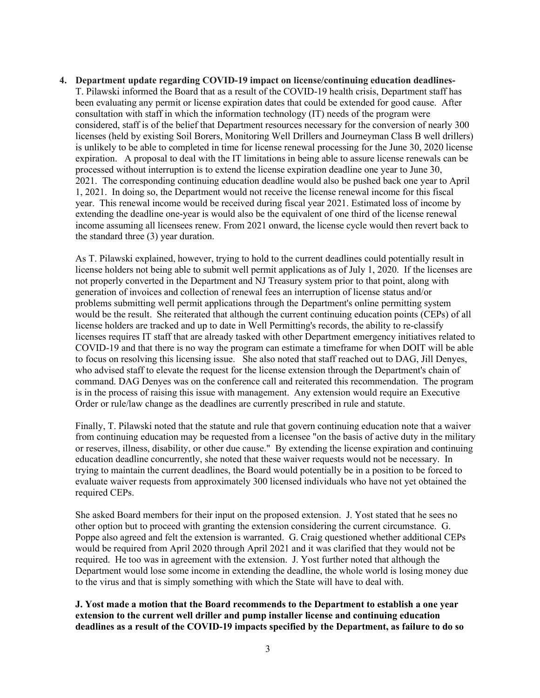**4. Department update regarding COVID-19 impact on license/continuing education deadlines-**T. Pilawski informed the Board that as a result of the COVID-19 health crisis, Department staff has been evaluating any permit or license expiration dates that could be extended for good cause. After consultation with staff in which the information technology (IT) needs of the program were considered, staff is of the belief that Department resources necessary for the conversion of nearly 300 licenses (held by existing Soil Borers, Monitoring Well Drillers and Journeyman Class B well drillers) is unlikely to be able to completed in time for license renewal processing for the June 30, 2020 license expiration. A proposal to deal with the IT limitations in being able to assure license renewals can be processed without interruption is to extend the license expiration deadline one year to June 30, 2021. The corresponding continuing education deadline would also be pushed back one year to April 1, 2021. In doing so, the Department would not receive the license renewal income for this fiscal year. This renewal income would be received during fiscal year 2021. Estimated loss of income by extending the deadline one-year is would also be the equivalent of one third of the license renewal income assuming all licensees renew. From 2021 onward, the license cycle would then revert back to the standard three (3) year duration.

As T. Pilawski explained, however, trying to hold to the current deadlines could potentially result in license holders not being able to submit well permit applications as of July 1, 2020. If the licenses are not properly converted in the Department and NJ Treasury system prior to that point, along with generation of invoices and collection of renewal fees an interruption of license status and/or problems submitting well permit applications through the Department's online permitting system would be the result. She reiterated that although the current continuing education points (CEPs) of all license holders are tracked and up to date in Well Permitting's records, the ability to re-classify licenses requires IT staff that are already tasked with other Department emergency initiatives related to COVID-19 and that there is no way the program can estimate a timeframe for when DOIT will be able to focus on resolving this licensing issue. She also noted that staff reached out to DAG, Jill Denyes, who advised staff to elevate the request for the license extension through the Department's chain of command. DAG Denyes was on the conference call and reiterated this recommendation. The program is in the process of raising this issue with management. Any extension would require an Executive Order or rule/law change as the deadlines are currently prescribed in rule and statute.

Finally, T. Pilawski noted that the statute and rule that govern continuing education note that a waiver from continuing education may be requested from a licensee "on the basis of active duty in the military or reserves, illness, disability, or other due cause." By extending the license expiration and continuing education deadline concurrently, she noted that these waiver requests would not be necessary. In trying to maintain the current deadlines, the Board would potentially be in a position to be forced to evaluate waiver requests from approximately 300 licensed individuals who have not yet obtained the required CEPs.

She asked Board members for their input on the proposed extension. J. Yost stated that he sees no other option but to proceed with granting the extension considering the current circumstance. G. Poppe also agreed and felt the extension is warranted. G. Craig questioned whether additional CEPs would be required from April 2020 through April 2021 and it was clarified that they would not be required. He too was in agreement with the extension. J. Yost further noted that although the Department would lose some income in extending the deadline, the whole world is losing money due to the virus and that is simply something with which the State will have to deal with.

**J. Yost made a motion that the Board recommends to the Department to establish a one year extension to the current well driller and pump installer license and continuing education deadlines as a result of the COVID-19 impacts specified by the Department, as failure to do so**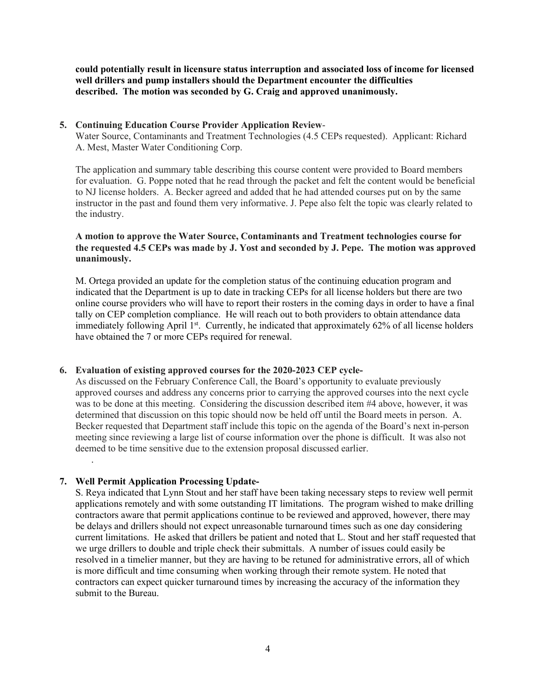**could potentially result in licensure status interruption and associated loss of income for licensed well drillers and pump installers should the Department encounter the difficulties described. The motion was seconded by G. Craig and approved unanimously.**

# **5. Continuing Education Course Provider Application Review**-

Water Source, Contaminants and Treatment Technologies (4.5 CEPs requested). Applicant: Richard A. Mest, Master Water Conditioning Corp.

The application and summary table describing this course content were provided to Board members for evaluation. G. Poppe noted that he read through the packet and felt the content would be beneficial to NJ license holders. A. Becker agreed and added that he had attended courses put on by the same instructor in the past and found them very informative. J. Pepe also felt the topic was clearly related to the industry.

#### **A motion to approve the Water Source, Contaminants and Treatment technologies course for the requested 4.5 CEPs was made by J. Yost and seconded by J. Pepe. The motion was approved unanimously.**

M. Ortega provided an update for the completion status of the continuing education program and indicated that the Department is up to date in tracking CEPs for all license holders but there are two online course providers who will have to report their rosters in the coming days in order to have a final tally on CEP completion compliance. He will reach out to both providers to obtain attendance data immediately following April  $1<sup>st</sup>$ . Currently, he indicated that approximately 62% of all license holders have obtained the 7 or more CEPs required for renewal.

# **6. Evaluation of existing approved courses for the 2020-2023 CEP cycle-**

As discussed on the February Conference Call, the Board's opportunity to evaluate previously approved courses and address any concerns prior to carrying the approved courses into the next cycle was to be done at this meeting. Considering the discussion described item #4 above, however, it was determined that discussion on this topic should now be held off until the Board meets in person. A. Becker requested that Department staff include this topic on the agenda of the Board's next in-person meeting since reviewing a large list of course information over the phone is difficult. It was also not deemed to be time sensitive due to the extension proposal discussed earlier.

# **7. Well Permit Application Processing Update-**

.

S. Reya indicated that Lynn Stout and her staff have been taking necessary steps to review well permit applications remotely and with some outstanding IT limitations. The program wished to make drilling contractors aware that permit applications continue to be reviewed and approved, however, there may be delays and drillers should not expect unreasonable turnaround times such as one day considering current limitations. He asked that drillers be patient and noted that L. Stout and her staff requested that we urge drillers to double and triple check their submittals. A number of issues could easily be resolved in a timelier manner, but they are having to be retuned for administrative errors, all of which is more difficult and time consuming when working through their remote system. He noted that contractors can expect quicker turnaround times by increasing the accuracy of the information they submit to the Bureau.